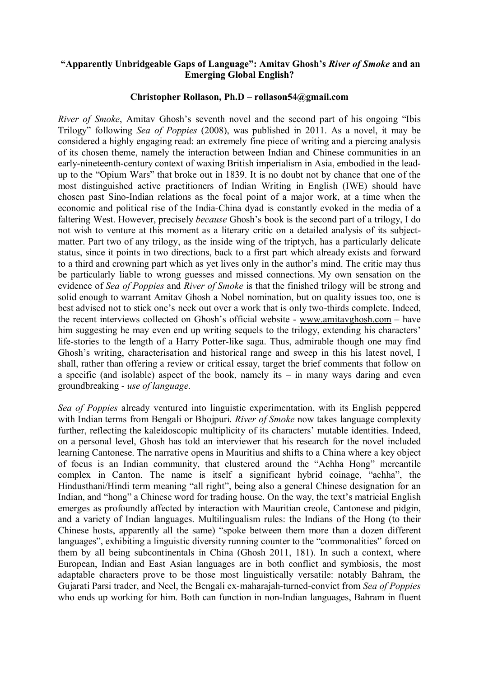## **"Apparently Unbridgeable Gaps of Language": Amitav Ghosh's** *River of Smoke* **and an Emerging Global English?**

## **Christopher Rollason, Ph.D – rollason54@gmail.com**

*River of Smoke*, Amitav Ghosh's seventh novel and the second part of his ongoing "Ibis" Trilogy" following *Sea of Poppies* (2008), was published in 2011. As a novel, it may be considered a highly engaging read: an extremely fine piece of writing and a piercing analysis of its chosen theme, namely the interaction between Indian and Chinese communities in an early-nineteenth-century context of waxing British imperialism in Asia, embodied in the leadup to the "Opium Wars" that broke out in 1839. It is no doubt not by chance that one of the most distinguished active practitioners of Indian Writing in English (IWE) should have chosen past Sino-Indian relations as the focal point of a major work, at a time when the economic and political rise of the India-China dyad is constantly evoked in the media of a faltering West. However, precisely *because* Ghosh's book is the second part of a trilogy, I do not wish to venture at this moment as a literary critic on a detailed analysis of its subjectmatter. Part two of any trilogy, as the inside wing of the triptych, has a particularly delicate status, since it points in two directions, back to a first part which already exists and forward to a third and crowning part which as yet lives only in the author's mind. The critic may thus be particularly liable to wrong guesses and missed connections. My own sensation on the evidence of *Sea of Poppies* and *River of Smoke* is that the finished trilogy will be strong and solid enough to warrant Amitav Ghosh a Nobel nomination, but on quality issues too, one is best advised not to stick one's neck out over a work that is only two-thirds complete. Indeed, the recent interviews collected on Ghosh's official website - [www.amitavghosh.com](http://www.amitavghosh.com) – have him suggesting he may even end up writing sequels to the trilogy, extending his characters' life-stories to the length of a Harry Potter-like saga. Thus, admirable though one may find Ghosh's writing, characterisation and historical range and sweep in this his latest novel, I shall, rather than offering a review or critical essay, target the brief comments that follow on a specific (and isolable) aspect of the book, namely its – in many ways daring and even groundbreaking - *use of language*.

*Sea of Poppies* already ventured into linguistic experimentation, with its English peppered with Indian terms from Bengali or Bhojpuri. *River of Smoke* now takes language complexity further, reflecting the kaleidoscopic multiplicity of its characters' mutable identities. Indeed, on a personal level, Ghosh has told an interviewer that his research for the novel included learning Cantonese. The narrative opens in Mauritius and shifts to a China where a key object of focus is an Indian community, that clustered around the "Achha Hong" mercantile complex in Canton. The name is itself a significant hybrid coinage, "achha", the Hindusthani/Hindi term meaning "all right", being also a general Chinese designation for an Indian, and "hong" a Chinese word for trading house. On the way, the text's matricial English emerges as profoundly affected by interaction with Mauritian creole, Cantonese and pidgin, and a variety of Indian languages. Multilingualism rules: the Indians of the Hong (to their Chinese hosts, apparently all the same) "spoke between them more than a dozen different languages", exhibiting a linguistic diversity running counter to the "commonalities" forced on them by all being subcontinentals in China (Ghosh 2011, 181). In such a context, where European, Indian and East Asian languages are in both conflict and symbiosis, the most adaptable characters prove to be those most linguistically versatile: notably Bahram, the Gujarati Parsi trader, and Neel, the Bengali ex-maharajah-turned-convict from *Sea of Poppies* who ends up working for him. Both can function in non-Indian languages, Bahram in fluent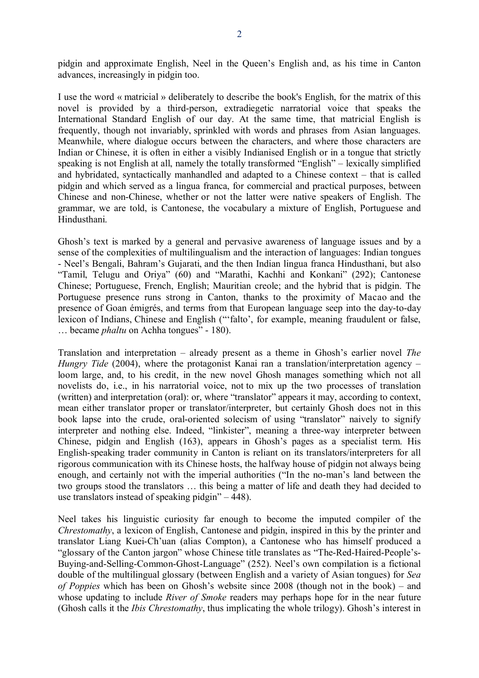pidgin and approximate English, Neel in the Queen's English and, as his time in Canton advances, increasingly in pidgin too.

I use the word « matricial » deliberately to describe the book's English, for the matrix of this novel is provided by a third-person, extradiegetic narratorial voice that speaks the International Standard English of our day. At the same time, that matricial English is frequently, though not invariably, sprinkled with words and phrases from Asian languages. Meanwhile, where dialogue occurs between the characters, and where those characters are Indian or Chinese, it is often in either a visibly Indianised English or in a tongue that strictly speaking is not English at all, namely the totally transformed "English" – lexically simplified and hybridated, syntactically manhandled and adapted to a Chinese context – that is called pidgin and which served as a lingua franca, for commercial and practical purposes, between Chinese and non-Chinese, whether or not the latter were native speakers of English. The grammar, we are told, is Cantonese, the vocabulary a mixture of English, Portuguese and Hindusthani.

Ghosh's text is marked by a general and pervasive awareness of language issues and by a sense of the complexities of multilingualism and the interaction of languages: Indian tongues - Neel's Bengali, Bahram's Gujarati, and the then Indian lingua franca Hindusthani, but also "Tamil, Telugu and Oriya" (60) and "Marathi, Kachhi and Konkani" (292); Cantonese Chinese; Portuguese, French, English; Mauritian creole; and the hybrid that is pidgin. The Portuguese presence runs strong in Canton, thanks to the proximity of Macao and the presence of Goan émigrés, and terms from that European language seep into the day-to-day lexicon of Indians, Chinese and English ("'falto', for example, meaning fraudulent or false, … became *phaltu* on Achha tongues" - 180).

Translation and interpretation – already present as a theme in Ghosh's earlier novel *The Hungry Tide* (2004), where the protagonist Kanai ran a translation/interpretation agency – loom large, and, to his credit, in the new novel Ghosh manages something which not all novelists do, i.e., in his narratorial voice, not to mix up the two processes of translation (written) and interpretation (oral): or, where "translator" appears it may, according to context, mean either translator proper or translator/interpreter, but certainly Ghosh does not in this book lapse into the crude, oral-oriented solecism of using "translator" naively to signify interpreter and nothing else. Indeed, "linkister", meaning a three-way interpreter between Chinese, pidgin and English (163), appears in Ghosh's pages as a specialist term. His English-speaking trader community in Canton is reliant on its translators/interpreters for all rigorous communication with its Chinese hosts, the halfway house of pidgin not always being enough, and certainly not with the imperial authorities ("In the no-man's land between the two groups stood the translators … this being a matter of life and death they had decided to use translators instead of speaking pidgin" – 448).

Neel takes his linguistic curiosity far enough to become the imputed compiler of the *Chrestomathy*, a lexicon of English, Cantonese and pidgin, inspired in this by the printer and translator Liang Kuei-Ch'uan (alias Compton), a Cantonese who has himself produced a "glossary of the Canton jargon" whose Chinese title translates as "The-Red-Haired-People's-Buying-and-Selling-Common-Ghost-Language" (252). Neel's own compilation is a fictional double of the multilingual glossary (between English and a variety of Asian tongues) for *Sea of Poppies* which has been on Ghosh's website since 2008 (though not in the book) – and whose updating to include *River of Smoke* readers may perhaps hope for in the near future (Ghosh calls it the *Ibis Chrestomathy*, thus implicating the whole trilogy). Ghosh's interest in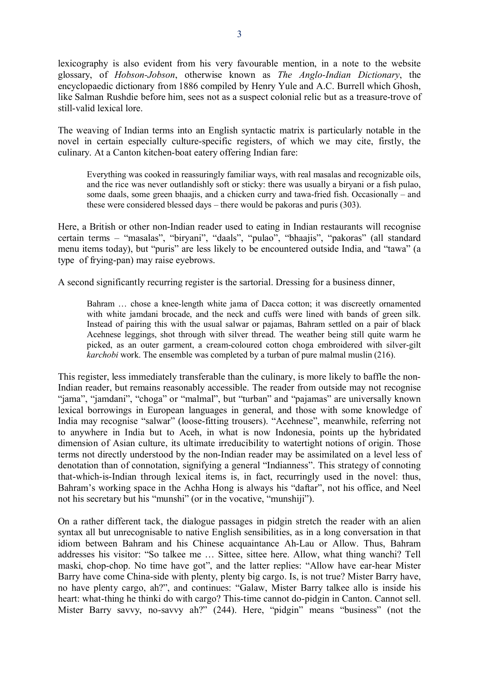lexicography is also evident from his very favourable mention, in a note to the website glossary, of *Hobson-Jobson*, otherwise known as *The Anglo-Indian Dictionary*, the encyclopaedic dictionary from 1886 compiled by Henry Yule and A.C. Burrell which Ghosh, like Salman Rushdie before him, sees not as a suspect colonial relic but as a treasure-trove of still-valid lexical lore.

The weaving of Indian terms into an English syntactic matrix is particularly notable in the novel in certain especially culture-specific registers, of which we may cite, firstly, the culinary. At a Canton kitchen-boat eatery offering Indian fare:

Everything was cooked in reassuringly familiar ways, with real masalas and recognizable oils, and the rice was never outlandishly soft or sticky: there was usually a biryani or a fish pulao, some daals, some green bhaajis, and a chicken curry and tawa-fried fish. Occasionally – and these were considered blessed days – there would be pakoras and puris (303).

Here, a British or other non-Indian reader used to eating in Indian restaurants will recognise certain terms – "masalas", "biryani", "daals", "pulao", "bhaajis", "pakoras" (all standard menu items today), but "puris" are less likely to be encountered outside India, and "tawa" (a type of frying-pan) may raise eyebrows.

A second significantly recurring register is the sartorial. Dressing for a business dinner,

Bahram … chose a knee-length white jama of Dacca cotton; it was discreetly ornamented with white jamdani brocade, and the neck and cuffs were lined with bands of green silk. Instead of pairing this with the usual salwar or pajamas, Bahram settled on a pair of black Acehnese leggings, shot through with silver thread. The weather being still quite warm he picked, as an outer garment, a cream-coloured cotton choga embroidered with silver-gilt *karchobi* work. The ensemble was completed by a turban of pure malmal muslin (216).

This register, less immediately transferable than the culinary, is more likely to baffle the non-Indian reader, but remains reasonably accessible. The reader from outside may not recognise "jama", "jamdani", "choga" or "malmal", but "turban" and "pajamas" are universally known lexical borrowings in European languages in general, and those with some knowledge of India may recognise "salwar" (loose-fitting trousers). "Acehnese", meanwhile, referring not to anywhere in India but to Aceh, in what is now Indonesia, points up the hybridated dimension of Asian culture, its ultimate irreducibility to watertight notions of origin. Those terms not directly understood by the non-Indian reader may be assimilated on a level less of denotation than of connotation, signifying a general "Indianness". This strategy of connoting that-which-is-Indian through lexical items is, in fact, recurringly used in the novel: thus, Bahram's working space in the Achha Hong is always his "daftar", not his office, and Neel not his secretary but his "munshi" (or in the vocative, "munshiji").

On a rather different tack, the dialogue passages in pidgin stretch the reader with an alien syntax all but unrecognisable to native English sensibilities, as in a long conversation in that idiom between Bahram and his Chinese acquaintance Ah-Lau or Allow. Thus, Bahram addresses his visitor: "So talkee me … Sittee, sittee here. Allow, what thing wanchi? Tell maski, chop-chop. No time have got", and the latter replies: "Allow have ear-hear Mister Barry have come China-side with plenty, plenty big cargo. Is, is not true? Mister Barry have, no have plenty cargo, ah?", and continues: "Galaw, Mister Barry talkee allo is inside his heart: what-thing he thinki do with cargo? This-time cannot do-pidgin in Canton. Cannot sell. Mister Barry savvy, no-savvy ah?" (244). Here, "pidgin" means "business" (not the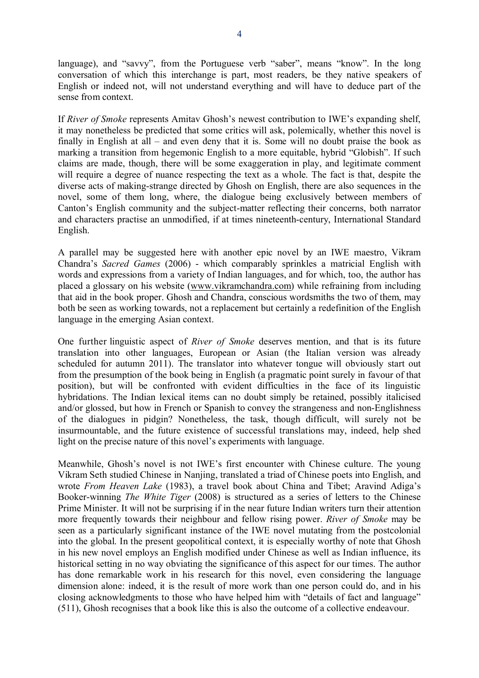language), and "savvy", from the Portuguese verb "saber", means "know". In the long conversation of which this interchange is part, most readers, be they native speakers of English or indeed not, will not understand everything and will have to deduce part of the sense from context.

If *River of Smoke* represents Amitav Ghosh's newest contribution to IWE's expanding shelf, it may nonetheless be predicted that some critics will ask, polemically, whether this novel is finally in English at all – and even deny that it is. Some will no doubt praise the book as marking a transition from hegemonic English to a more equitable, hybrid "Globish". If such claims are made, though, there will be some exaggeration in play, and legitimate comment will require a degree of nuance respecting the text as a whole. The fact is that, despite the diverse acts of making-strange directed by Ghosh on English, there are also sequences in the novel, some of them long, where, the dialogue being exclusively between members of Canton's English community and the subject-matter reflecting their concerns, both narrator and characters practise an unmodified, if at times nineteenth-century, International Standard English.

A parallel may be suggested here with another epic novel by an IWE maestro, Vikram Chandra's *Sacred Games* (2006) - which comparably sprinkles a matricial English with words and expressions from a variety of Indian languages, and for which, too, the author has placed a glossary on his website [\(www.vikramchandra.com\)](http://www.vikramchandra.com) while refraining from including that aid in the book proper. Ghosh and Chandra, conscious wordsmiths the two of them, may both be seen as working towards, not a replacement but certainly a redefinition of the English language in the emerging Asian context.

One further linguistic aspect of *River of Smoke* deserves mention, and that is its future translation into other languages, European or Asian (the Italian version was already scheduled for autumn 2011). The translator into whatever tongue will obviously start out from the presumption of the book being in English (a pragmatic point surely in favour of that position), but will be confronted with evident difficulties in the face of its linguistic hybridations. The Indian lexical items can no doubt simply be retained, possibly italicised and/or glossed, but how in French or Spanish to convey the strangeness and non-Englishness of the dialogues in pidgin? Nonetheless, the task, though difficult, will surely not be insurmountable, and the future existence of successful translations may, indeed, help shed light on the precise nature of this novel's experiments with language.

Meanwhile, Ghosh's novel is not IWE's first encounter with Chinese culture. The young Vikram Seth studied Chinese in Nanjing, translated a triad of Chinese poets into English, and wrote *From Heaven Lake* (1983), a travel book about China and Tibet; Aravind Adiga's Booker-winning *The White Tiger* (2008) is structured as a series of letters to the Chinese Prime Minister. It will not be surprising if in the near future Indian writers turn their attention more frequently towards their neighbour and fellow rising power. *River of Smoke* may be seen as a particularly significant instance of the IWE novel mutating from the postcolonial into the global. In the present geopolitical context, it is especially worthy of note that Ghosh in his new novel employs an English modified under Chinese as well as Indian influence, its historical setting in no way obviating the significance of this aspect for our times. The author has done remarkable work in his research for this novel, even considering the language dimension alone: indeed, it is the result of more work than one person could do, and in his closing acknowledgments to those who have helped him with "details of fact and language" (511), Ghosh recognises that a book like this is also the outcome of a collective endeavour.